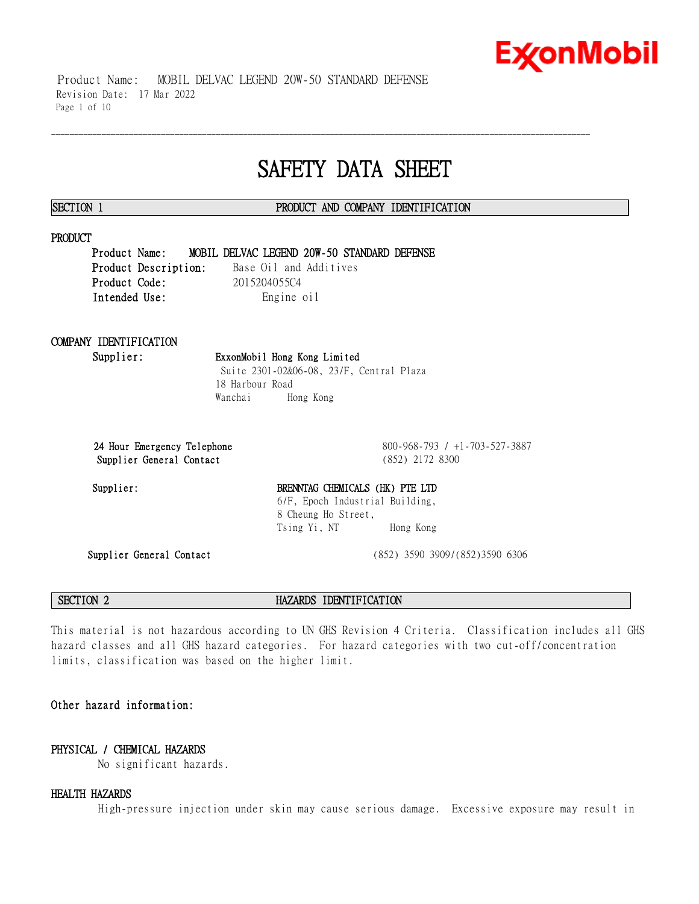# **Ex⁄onMobil**

 Product Name: MOBIL DELVAC LEGEND 20W-50 STANDARD DEFENSE Revision Date: 17 Mar 2022 Page 1 of 10

## **SAFETY DATA SHEET**

\_\_\_\_\_\_\_\_\_\_\_\_\_\_\_\_\_\_\_\_\_\_\_\_\_\_\_\_\_\_\_\_\_\_\_\_\_\_\_\_\_\_\_\_\_\_\_\_\_\_\_\_\_\_\_\_\_\_\_\_\_\_\_\_\_\_\_\_\_\_\_\_\_\_\_\_\_\_\_\_\_\_\_\_\_\_\_\_\_\_\_\_\_\_\_\_\_\_\_\_\_\_\_\_\_\_\_\_\_\_\_\_\_\_\_\_\_\_

### **SECTION 1 PRODUCT AND COMPANY IDENTIFICATION**

#### **PRODUCT**

**Product Name: MOBIL DELVAC LEGEND 20W-50 STANDARD DEFENSE Product Description:** Base Oil and Additives **Product Code:** 2015204055C4 Intended Use: Engine oil

## **COMPANY IDENTIFICATION**

**Supplier: ExxonMobil Hong Kong Limited** Suite 2301-02&06-08, 23/F, Central Plaza 18 Harbour Road Wanchai Hong Kong

**Supplier General Contact** (852) 2172 8300

**24 Hour Emergency Telephone** 800-968-793 / +1-703-527-3887

### Supplier: BRENNTAG CHEMICALS (HK) PTE LTD 6/F, Epoch Industrial Building, 8 Cheung Ho Street, Tsing Yi, NT Hong Kong

**Supplier General Contact** (852) 3590 3909/(852)3590 6306

**SECTION 2 HAZARDS IDENTIFICATION**

This material is not hazardous according to UN GHS Revision 4 Criteria. Classification includes all GHS hazard classes and all GHS hazard categories. For hazard categories with two cut-off/concentration limits, classification was based on the higher limit.

### **Other hazard information:**

### **PHYSICAL / CHEMICAL HAZARDS**

No significant hazards.

#### **HEALTH HAZARDS**

High-pressure injection under skin may cause serious damage. Excessive exposure may result in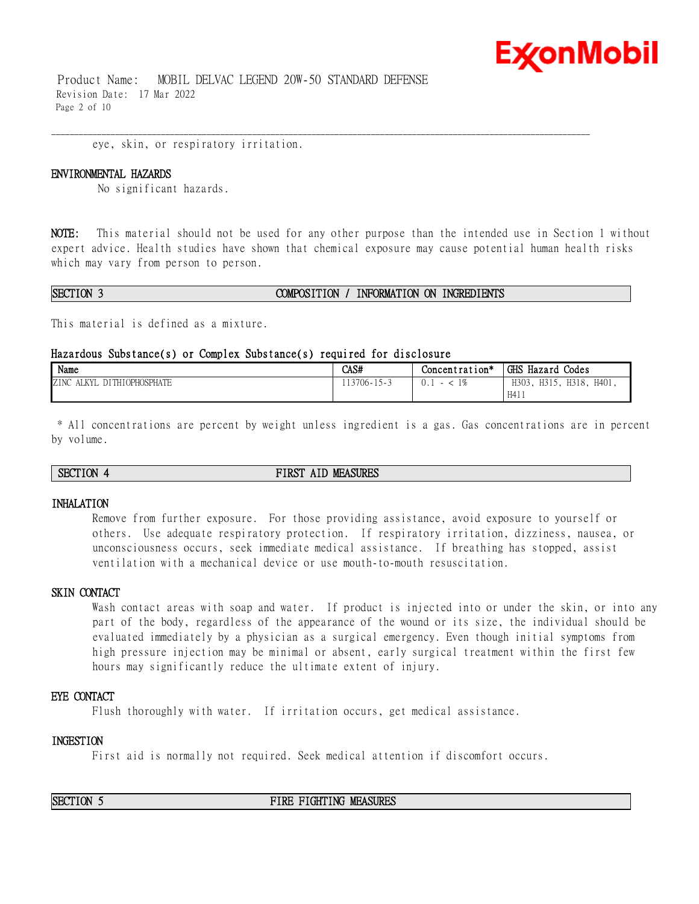# **Ex⁄onMobil**

 Product Name: MOBIL DELVAC LEGEND 20W-50 STANDARD DEFENSE Revision Date: 17 Mar 2022 Page 2 of 10

eye, skin, or respiratory irritation.

#### **ENVIRONMENTAL HAZARDS**

No significant hazards.

**NOTE:** This material should not be used for any other purpose than the intended use in Section 1 without expert advice. Health studies have shown that chemical exposure may cause potential human health risks which may vary from person to person.

\_\_\_\_\_\_\_\_\_\_\_\_\_\_\_\_\_\_\_\_\_\_\_\_\_\_\_\_\_\_\_\_\_\_\_\_\_\_\_\_\_\_\_\_\_\_\_\_\_\_\_\_\_\_\_\_\_\_\_\_\_\_\_\_\_\_\_\_\_\_\_\_\_\_\_\_\_\_\_\_\_\_\_\_\_\_\_\_\_\_\_\_\_\_\_\_\_\_\_\_\_\_\_\_\_\_\_\_\_\_\_\_\_\_\_\_\_\_

#### **SECTION 3 COMPOSITION / INFORMATION ON INGREDIENTS**

This material is defined as a mixture.

#### **Hazardous Substance(s) or Complex Substance(s) required for disclosure**

| Name                                           | CAS#                            | Concentration* | GHS Hazard<br><sup>1</sup> Codes         |
|------------------------------------------------|---------------------------------|----------------|------------------------------------------|
| <b>DITHIOPHOSPHATE</b><br>ZINC<br>AT KV<br>ALN | .13706-1<br>$\sim$<br>$\lambda$ |                | H303.<br>H318,<br>H401.<br>H315,<br>H411 |

\* All concentrations are percent by weight unless ingredient is a gas. Gas concentrations are in percent by volume.

#### **SECTION 4 FIRST AID MEASURES**

#### **INHALATION**

Remove from further exposure. For those providing assistance, avoid exposure to yourself or others. Use adequate respiratory protection. If respiratory irritation, dizziness, nausea, or unconsciousness occurs, seek immediate medical assistance. If breathing has stopped, assist ventilation with a mechanical device or use mouth-to-mouth resuscitation.

#### **SKIN CONTACT**

Wash contact areas with soap and water. If product is injected into or under the skin, or into any part of the body, regardless of the appearance of the wound or its size, the individual should be evaluated immediately by a physician as a surgical emergency. Even though initial symptoms from high pressure injection may be minimal or absent, early surgical treatment within the first few hours may significantly reduce the ultimate extent of injury.

#### **EYE CONTACT**

Flush thoroughly with water. If irritation occurs, get medical assistance.

#### **INGESTION**

First aid is normally not required. Seek medical attention if discomfort occurs.

**SECTION 5 FIRE FIGHTING MEASURES**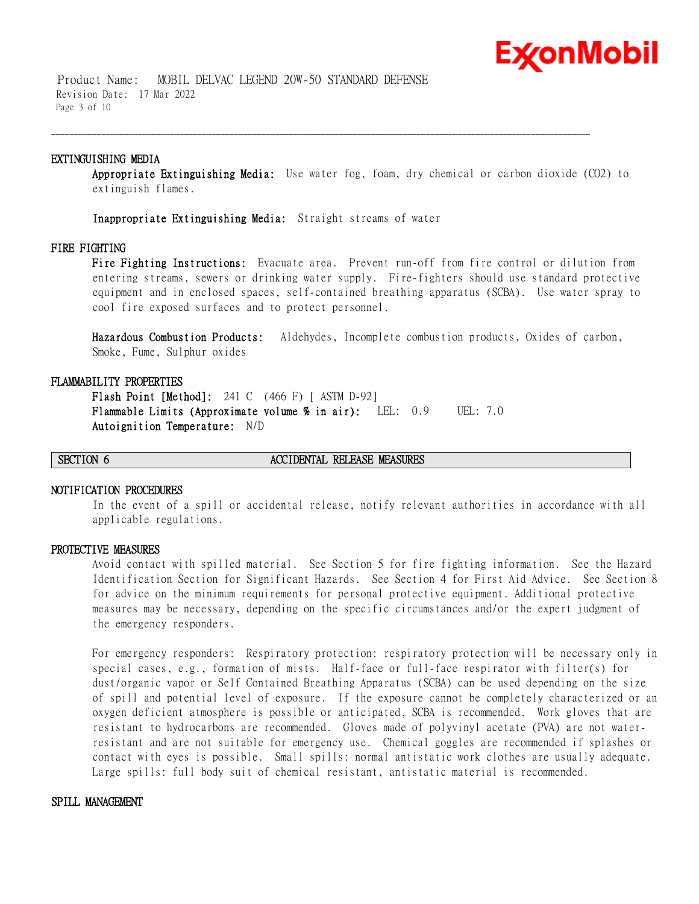## ExconMobil

 Product Name: MOBIL DELVAC LEGEND 20W-50 STANDARD DEFENSE Revision Date: 17 Mar 2022 Page 3 of 10

#### **EXTINGUISHING MEDIA**

**Appropriate Extinguishing Media:** Use water fog, foam, dry chemical or carbon dioxide (CO2) to extinguish flames.

\_\_\_\_\_\_\_\_\_\_\_\_\_\_\_\_\_\_\_\_\_\_\_\_\_\_\_\_\_\_\_\_\_\_\_\_\_\_\_\_\_\_\_\_\_\_\_\_\_\_\_\_\_\_\_\_\_\_\_\_\_\_\_\_\_\_\_\_\_\_\_\_\_\_\_\_\_\_\_\_\_\_\_\_\_\_\_\_\_\_\_\_\_\_\_\_\_\_\_\_\_\_\_\_\_\_\_\_\_\_\_\_\_\_\_\_\_\_

**Inappropriate Extinguishing Media:** Straight streams of water

#### **FIRE FIGHTING**

**Fire Fighting Instructions:** Evacuate area. Prevent run-off from fire control or dilution from entering streams, sewers or drinking water supply. Fire-fighters should use standard protective equipment and in enclosed spaces, self-contained breathing apparatus (SCBA). Use water spray to cool fire exposed surfaces and to protect personnel.

**Hazardous Combustion Products:** Aldehydes, Incomplete combustion products, Oxides of carbon, Smoke, Fume, Sulphur oxides

#### **FLAMMABILITY PROPERTIES**

**Flash Point [Method]:** 241 C (466 F) [ ASTM D-92] **Flammable Limits (Approximate volume % in air):** LEL: 0.9 UEL: 7.0 **Autoignition Temperature:** N/D

#### **SECTION 6 ACCIDENTAL RELEASE MEASURES**

#### **NOTIFICATION PROCEDURES**

In the event of a spill or accidental release, notify relevant authorities in accordance with all applicable regulations.

#### **PROTECTIVE MEASURES**

Avoid contact with spilled material. See Section 5 for fire fighting information. See the Hazard Identification Section for Significant Hazards. See Section 4 for First Aid Advice. See Section 8 for advice on the minimum requirements for personal protective equipment. Additional protective measures may be necessary, depending on the specific circumstances and/or the expert judgment of the emergency responders.

For emergency responders: Respiratory protection: respiratory protection will be necessary only in special cases, e.g., formation of mists. Half-face or full-face respirator with filter(s) for dust/organic vapor or Self Contained Breathing Apparatus (SCBA) can be used depending on the size of spill and potential level of exposure. If the exposure cannot be completely characterized or an oxygen deficient atmosphere is possible or anticipated, SCBA is recommended. Work gloves that are resistant to hydrocarbons are recommended. Gloves made of polyvinyl acetate (PVA) are not waterresistant and are not suitable for emergency use. Chemical goggles are recommended if splashes or contact with eyes is possible. Small spills: normal antistatic work clothes are usually adequate. Large spills: full body suit of chemical resistant, antistatic material is recommended.

#### **SPILL MANAGEMENT**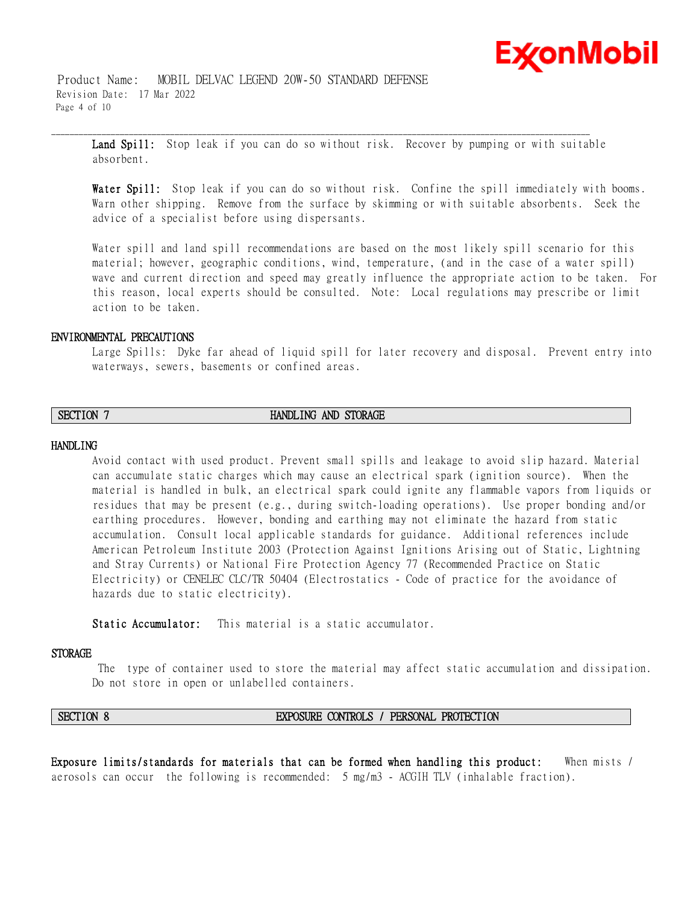

 Product Name: MOBIL DELVAC LEGEND 20W-50 STANDARD DEFENSE Revision Date: 17 Mar 2022 Page 4 of 10

**Land Spill:** Stop leak if you can do so without risk. Recover by pumping or with suitable absorbent.

\_\_\_\_\_\_\_\_\_\_\_\_\_\_\_\_\_\_\_\_\_\_\_\_\_\_\_\_\_\_\_\_\_\_\_\_\_\_\_\_\_\_\_\_\_\_\_\_\_\_\_\_\_\_\_\_\_\_\_\_\_\_\_\_\_\_\_\_\_\_\_\_\_\_\_\_\_\_\_\_\_\_\_\_\_\_\_\_\_\_\_\_\_\_\_\_\_\_\_\_\_\_\_\_\_\_\_\_\_\_\_\_\_\_\_\_\_\_

**Water Spill:** Stop leak if you can do so without risk. Confine the spill immediately with booms. Warn other shipping. Remove from the surface by skimming or with suitable absorbents. Seek the advice of a specialist before using dispersants.

Water spill and land spill recommendations are based on the most likely spill scenario for this material; however, geographic conditions, wind, temperature, (and in the case of a water spill) wave and current direction and speed may greatly influence the appropriate action to be taken. For this reason, local experts should be consulted. Note: Local regulations may prescribe or limit action to be taken.

#### **ENVIRONMENTAL PRECAUTIONS**

Large Spills: Dyke far ahead of liquid spill for later recovery and disposal. Prevent entry into waterways, sewers, basements or confined areas.

### **SECTION 7 HANDLING AND STORAGE**

#### **HANDLING**

Avoid contact with used product. Prevent small spills and leakage to avoid slip hazard. Material can accumulate static charges which may cause an electrical spark (ignition source). When the material is handled in bulk, an electrical spark could ignite any flammable vapors from liquids or residues that may be present (e.g., during switch-loading operations). Use proper bonding and/or earthing procedures. However, bonding and earthing may not eliminate the hazard from static accumulation. Consult local applicable standards for guidance. Additional references include American Petroleum Institute 2003 (Protection Against Ignitions Arising out of Static, Lightning and Stray Currents) or National Fire Protection Agency 77 (Recommended Practice on Static Electricity) or CENELEC CLC/TR 50404 (Electrostatics - Code of practice for the avoidance of hazards due to static electricity).

**Static Accumulator:** This material is a static accumulator.

#### **STORAGE**

The type of container used to store the material may affect static accumulation and dissipation. Do not store in open or unlabelled containers.

#### **SECTION 8 EXPOSURE CONTROLS / PERSONAL PROTECTION**

**Exposure limits/standards for materials that can be formed when handling this product:** When mists / aerosols can occur the following is recommended: 5 mg/m3 - ACGIH TLV (inhalable fraction).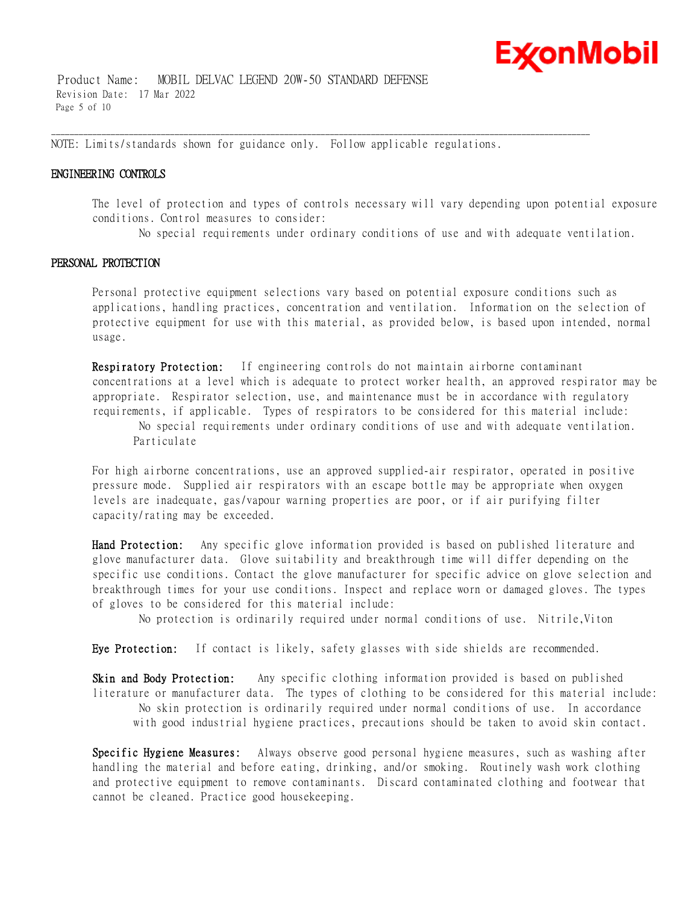

 Product Name: MOBIL DELVAC LEGEND 20W-50 STANDARD DEFENSE Revision Date: 17 Mar 2022 Page 5 of 10

NOTE: Limits/standards shown for guidance only. Follow applicable regulations.

\_\_\_\_\_\_\_\_\_\_\_\_\_\_\_\_\_\_\_\_\_\_\_\_\_\_\_\_\_\_\_\_\_\_\_\_\_\_\_\_\_\_\_\_\_\_\_\_\_\_\_\_\_\_\_\_\_\_\_\_\_\_\_\_\_\_\_\_\_\_\_\_\_\_\_\_\_\_\_\_\_\_\_\_\_\_\_\_\_\_\_\_\_\_\_\_\_\_\_\_\_\_\_\_\_\_\_\_\_\_\_\_\_\_\_\_\_\_

#### **ENGINEERING CONTROLS**

The level of protection and types of controls necessary will vary depending upon potential exposure conditions. Control measures to consider:

No special requirements under ordinary conditions of use and with adequate ventilation.

#### **PERSONAL PROTECTION**

Personal protective equipment selections vary based on potential exposure conditions such as applications, handling practices, concentration and ventilation. Information on the selection of protective equipment for use with this material, as provided below, is based upon intended, normal usage.

**Respiratory Protection:** If engineering controls do not maintain airborne contaminant concentrations at a level which is adequate to protect worker health, an approved respirator may be appropriate. Respirator selection, use, and maintenance must be in accordance with regulatory requirements, if applicable. Types of respirators to be considered for this material include:

No special requirements under ordinary conditions of use and with adequate ventilation. Particulate

For high airborne concentrations, use an approved supplied-air respirator, operated in positive pressure mode. Supplied air respirators with an escape bottle may be appropriate when oxygen levels are inadequate, gas/vapour warning properties are poor, or if air purifying filter capacity/rating may be exceeded.

**Hand Protection:** Any specific glove information provided is based on published literature and glove manufacturer data. Glove suitability and breakthrough time will differ depending on the specific use conditions. Contact the glove manufacturer for specific advice on glove selection and breakthrough times for your use conditions. Inspect and replace worn or damaged gloves. The types of gloves to be considered for this material include:

No protection is ordinarily required under normal conditions of use. Nitrile,Viton

**Eye Protection:** If contact is likely, safety glasses with side shields are recommended.

**Skin and Body Protection:** Any specific clothing information provided is based on published literature or manufacturer data. The types of clothing to be considered for this material include: No skin protection is ordinarily required under normal conditions of use. In accordance with good industrial hygiene practices, precautions should be taken to avoid skin contact.

**Specific Hygiene Measures:** Always observe good personal hygiene measures, such as washing after handling the material and before eating, drinking, and/or smoking. Routinely wash work clothing and protective equipment to remove contaminants. Discard contaminated clothing and footwear that cannot be cleaned. Practice good housekeeping.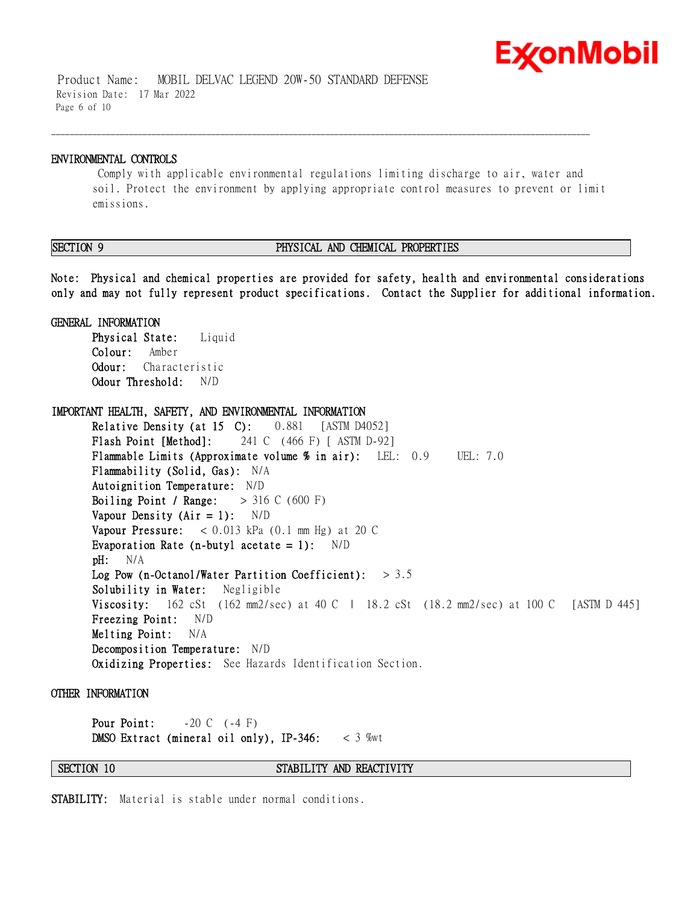## **Ex⁄onMobil**

 Product Name: MOBIL DELVAC LEGEND 20W-50 STANDARD DEFENSE Revision Date: 17 Mar 2022 Page 6 of 10

#### **ENVIRONMENTAL CONTROLS**

Comply with applicable environmental regulations limiting discharge to air, water and soil. Protect the environment by applying appropriate control measures to prevent or limit emissions.

\_\_\_\_\_\_\_\_\_\_\_\_\_\_\_\_\_\_\_\_\_\_\_\_\_\_\_\_\_\_\_\_\_\_\_\_\_\_\_\_\_\_\_\_\_\_\_\_\_\_\_\_\_\_\_\_\_\_\_\_\_\_\_\_\_\_\_\_\_\_\_\_\_\_\_\_\_\_\_\_\_\_\_\_\_\_\_\_\_\_\_\_\_\_\_\_\_\_\_\_\_\_\_\_\_\_\_\_\_\_\_\_\_\_\_\_\_\_

### **SECTION 9 PHYSICAL AND CHEMICAL PROPERTIES**

**Note: Physical and chemical properties are provided for safety, health and environmental considerations only and may not fully represent product specifications. Contact the Supplier for additional information.**

**GENERAL INFORMATION**

**Physical State:** Liquid **Colour:** Amber **Odour:** Characteristic **Odour Threshold:** N/D

**IMPORTANT HEALTH, SAFETY, AND ENVIRONMENTAL INFORMATION Relative Density (at 15 C):** 0.881 [ASTM D4052] **Flash Point [Method]:** 241 C (466 F) [ ASTM D-92] **Flammable Limits (Approximate volume % in air):** LEL: 0.9 UEL: 7.0 **Flammability (Solid, Gas):** N/A **Autoignition Temperature:** N/D **Boiling Point / Range:** > 316 C (600 F) **Vapour Density (Air = 1):** N/D **Vapour Pressure:** < 0.013 kPa (0.1 mm Hg) at 20 C **Evaporation Rate (n-butyl acetate = 1):** N/D **pH:** N/A **Log Pow (n-Octanol/Water Partition Coefficient):** > 3.5 **Solubility in Water:** Negligible **Viscosity:** 162 cSt (162 mm2/sec) at 40 C | 18.2 cSt (18.2 mm2/sec) at 100 C [ASTM D 445] **Freezing Point:** N/D **Melting Point:** N/A **Decomposition Temperature:** N/D **Oxidizing Properties:** See Hazards Identification Section.

**OTHER INFORMATION**

**Pour Point:**  $-20 \text{ C}$  (-4 F) **DMSO Extract (mineral oil only), IP-346:** < 3 %wt

**SECTION 10 STABILITY AND REACTIVITY** 

**STABILITY:** Material is stable under normal conditions.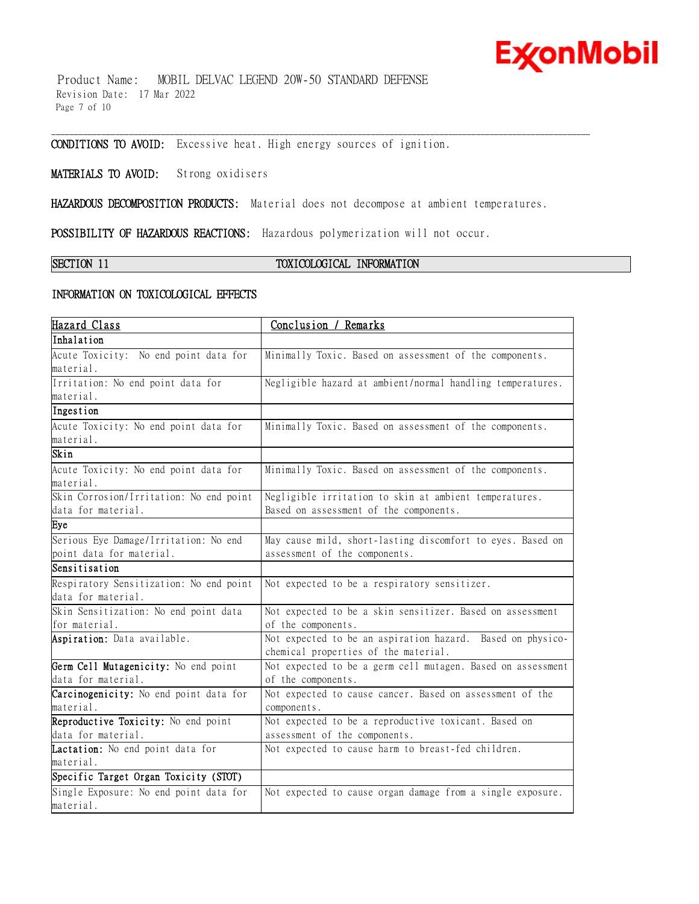# **ExconMobil**

 Product Name: MOBIL DELVAC LEGEND 20W-50 STANDARD DEFENSE Revision Date: 17 Mar 2022 Page 7 of 10

**CONDITIONS TO AVOID:** Excessive heat. High energy sources of ignition.

**MATERIALS TO AVOID:** Strong oxidisers

**HAZARDOUS DECOMPOSITION PRODUCTS:** Material does not decompose at ambient temperatures.

\_\_\_\_\_\_\_\_\_\_\_\_\_\_\_\_\_\_\_\_\_\_\_\_\_\_\_\_\_\_\_\_\_\_\_\_\_\_\_\_\_\_\_\_\_\_\_\_\_\_\_\_\_\_\_\_\_\_\_\_\_\_\_\_\_\_\_\_\_\_\_\_\_\_\_\_\_\_\_\_\_\_\_\_\_\_\_\_\_\_\_\_\_\_\_\_\_\_\_\_\_\_\_\_\_\_\_\_\_\_\_\_\_\_\_\_\_\_

**POSSIBILITY OF HAZARDOUS REACTIONS:** Hazardous polymerization will not occur.

### **SECTION 11 TOXICOLOGICAL INFORMATION**

#### **INFORMATION ON TOXICOLOGICAL EFFECTS**

| Hazard Class                            | Conclusion / Remarks                                                                               |
|-----------------------------------------|----------------------------------------------------------------------------------------------------|
| Inhalation                              |                                                                                                    |
| Acute Toxicity: No end point data for   | Minimally Toxic. Based on assessment of the components.                                            |
| material.                               |                                                                                                    |
| Irritation: No end point data for       | Negligible hazard at ambient/normal handling temperatures.                                         |
| material.                               |                                                                                                    |
| Ingestion                               |                                                                                                    |
| Acute Toxicity: No end point data for   | Minimally Toxic. Based on assessment of the components.                                            |
| material.                               |                                                                                                    |
| Skin                                    |                                                                                                    |
| Acute Toxicity: No end point data for   | Minimally Toxic. Based on assessment of the components.                                            |
| material.                               |                                                                                                    |
| Skin Corrosion/Irritation: No end point | Negligible irritation to skin at ambient temperatures.                                             |
| data for material.                      | Based on assessment of the components.                                                             |
| Eye                                     |                                                                                                    |
| Serious Eye Damage/Irritation: No end   | May cause mild, short-lasting discomfort to eyes. Based on                                         |
| point data for material.                | assessment of the components.                                                                      |
| Sensitisation                           |                                                                                                    |
| Respiratory Sensitization: No end point | Not expected to be a respiratory sensitizer.                                                       |
| data for material.                      |                                                                                                    |
| Skin Sensitization: No end point data   | Not expected to be a skin sensitizer. Based on assessment                                          |
| for material.                           | of the components.                                                                                 |
| Aspiration: Data available.             | Not expected to be an aspiration hazard. Based on physico-<br>chemical properties of the material. |
| Germ Cell Mutagenicity: No end point    | Not expected to be a germ cell mutagen. Based on assessment                                        |
| data for material.                      | of the components.                                                                                 |
| Carcinogenicity: No end point data for  | Not expected to cause cancer. Based on assessment of the                                           |
| material.                               | components.                                                                                        |
| Reproductive Toxicity: No end point     | Not expected to be a reproductive toxicant. Based on                                               |
| data for material.                      | assessment of the components.                                                                      |
| Lactation: No end point data for        | Not expected to cause harm to breast-fed children.                                                 |
| material.                               |                                                                                                    |
| Specific Target Organ Toxicity (STOT)   |                                                                                                    |
| Single Exposure: No end point data for  | Not expected to cause organ damage from a single exposure.                                         |
| material.                               |                                                                                                    |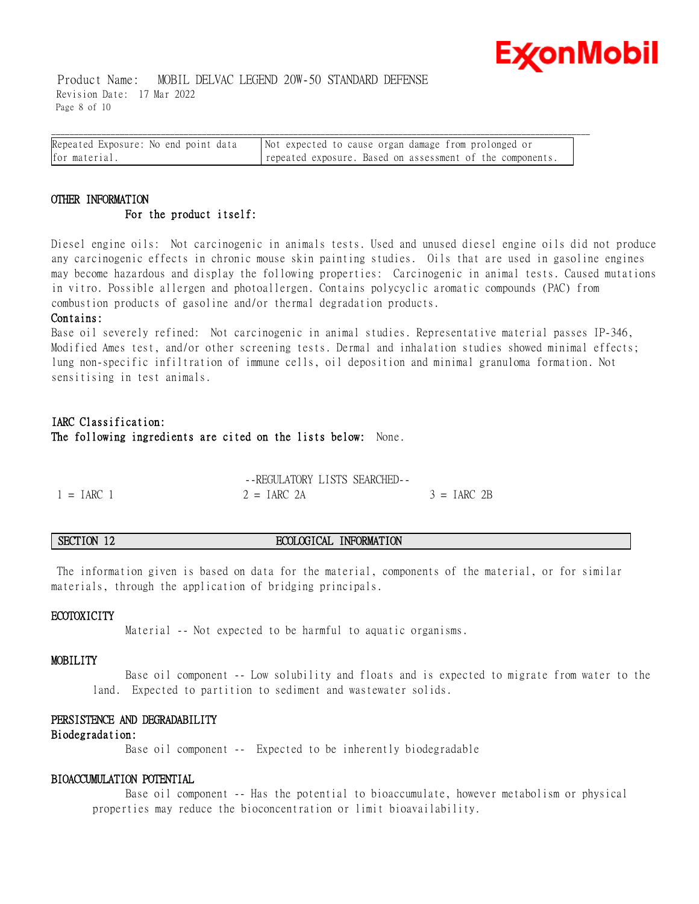

 Product Name: MOBIL DELVAC LEGEND 20W-50 STANDARD DEFENSE Revision Date: 17 Mar 2022 Page 8 of 10

| Repeated Exposure: No end point data | Not expected to cause organ damage from prolonged or      |
|--------------------------------------|-----------------------------------------------------------|
| for material.                        | repeated exposure. Based on assessment of the components. |

### **OTHER INFORMATION For the product itself:**

Diesel engine oils: Not carcinogenic in animals tests. Used and unused diesel engine oils did not produce any carcinogenic effects in chronic mouse skin painting studies. Oils that are used in gasoline engines may become hazardous and display the following properties: Carcinogenic in animal tests. Caused mutations in vitro. Possible allergen and photoallergen. Contains polycyclic aromatic compounds (PAC) from combustion products of gasoline and/or thermal degradation products.

#### **Contains:**

Base oil severely refined: Not carcinogenic in animal studies. Representative material passes IP-346, Modified Ames test, and/or other screening tests. Dermal and inhalation studies showed minimal effects; lung non-specific infiltration of immune cells, oil deposition and minimal granuloma formation. Not sensitising in test animals.

### **IARC Classification: The following ingredients are cited on the lists below:** None.

|              | -FREGULATORY LISTS SEARCHED- |               |
|--------------|------------------------------|---------------|
| $1 = IARC$ 1 | $2 = IARC 2A$                | $3 = IARC$ 2B |

### **SECTION 12 ECOLOGICAL INFORMATION**

The information given is based on data for the material, components of the material, or for similar materials, through the application of bridging principals.

#### **ECOTOXICITY**

Material -- Not expected to be harmful to aquatic organisms.

#### **MOBILITY**

 Base oil component -- Low solubility and floats and is expected to migrate from water to the land. Expected to partition to sediment and wastewater solids.

#### **PERSISTENCE AND DEGRADABILITY**

#### **Biodegradation:**

Base oil component -- Expected to be inherently biodegradable

### **BIOACCUMULATION POTENTIAL**

 Base oil component -- Has the potential to bioaccumulate, however metabolism or physical properties may reduce the bioconcentration or limit bioavailability.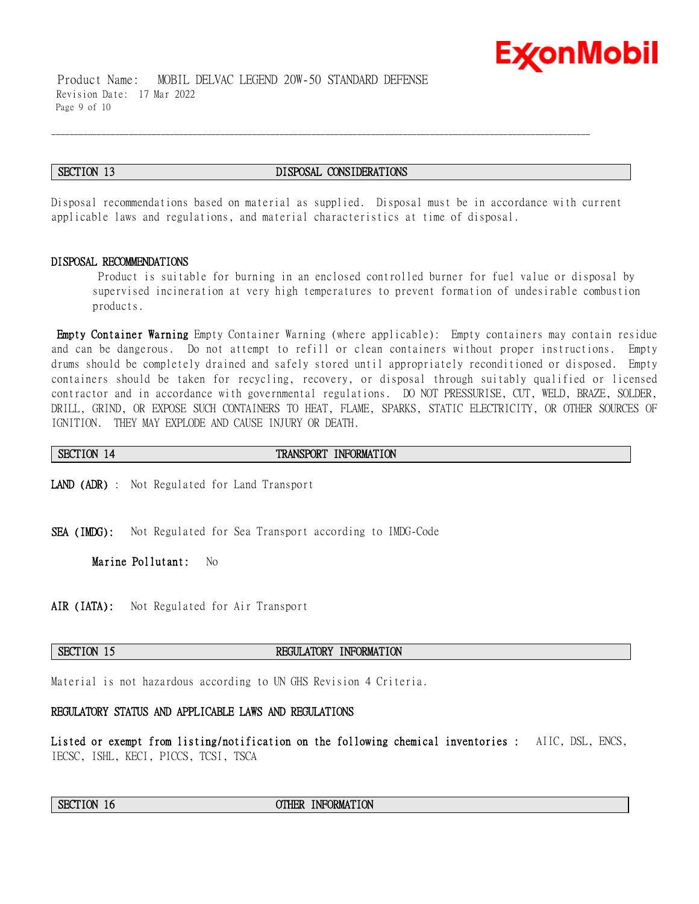

#### **SECTION 13 DISPOSAL CONSIDERATIONS**

\_\_\_\_\_\_\_\_\_\_\_\_\_\_\_\_\_\_\_\_\_\_\_\_\_\_\_\_\_\_\_\_\_\_\_\_\_\_\_\_\_\_\_\_\_\_\_\_\_\_\_\_\_\_\_\_\_\_\_\_\_\_\_\_\_\_\_\_\_\_\_\_\_\_\_\_\_\_\_\_\_\_\_\_\_\_\_\_\_\_\_\_\_\_\_\_\_\_\_\_\_\_\_\_\_\_\_\_\_\_\_\_\_\_\_\_\_\_

Disposal recommendations based on material as supplied. Disposal must be in accordance with current applicable laws and regulations, and material characteristics at time of disposal.

#### **DISPOSAL RECOMMENDATIONS**

Product is suitable for burning in an enclosed controlled burner for fuel value or disposal by supervised incineration at very high temperatures to prevent formation of undesirable combustion products.

Ex⁄onMobil

**Empty Container Warning** Empty Container Warning (where applicable): Empty containers may contain residue and can be dangerous. Do not attempt to refill or clean containers without proper instructions. Empty drums should be completely drained and safely stored until appropriately reconditioned or disposed. Empty containers should be taken for recycling, recovery, or disposal through suitably qualified or licensed contractor and in accordance with governmental regulations. DO NOT PRESSURISE, CUT, WELD, BRAZE, SOLDER, DRILL, GRIND, OR EXPOSE SUCH CONTAINERS TO HEAT, FLAME, SPARKS, STATIC ELECTRICITY, OR OTHER SOURCES OF IGNITION. THEY MAY EXPLODE AND CAUSE INJURY OR DEATH.

#### **SECTION 14 TRANSPORT INFORMATION**

**LAND (ADR)** : Not Regulated for Land Transport

**SEA (IMDG):** Not Regulated for Sea Transport according to IMDG-Code

**Marine Pollutant:** No

**AIR (IATA):** Not Regulated for Air Transport

### **SECTION 15 REGULATORY INFORMATION**

Material is not hazardous according to UN GHS Revision 4 Criteria.

#### **REGULATORY STATUS AND APPLICABLE LAWS AND REGULATIONS**

**Listed or exempt from listing/notification on the following chemical inventories :** AIIC, DSL, ENCS, IECSC, ISHL, KECI, PICCS, TCSI, TSCA

#### **SECTION 16 OTHER INFORMATION**